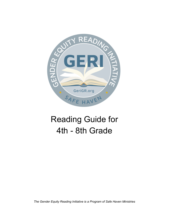

# Reading Guide for 4th - 8th Grade

*The Gender Equity Reading Initiative is a Program of Safe Haven Ministries*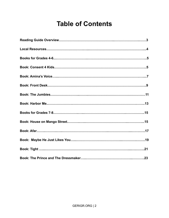# **Table of Contents**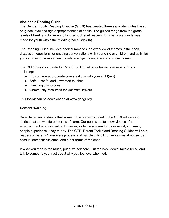# **About this Reading Guide**

The Gender Equity Reading Initiative (GERI) has created three separate guides based on grade level and age appropriateness of books. The guides range from the grade levels of Pre-k and lower up to high school level readers. This particular guide was made for youth within the middle grades (4th-8th).

The Reading Guide includes book summaries, an overview of themes in the book, discussion questions for ongoing conversations with your child or children, and activities you can use to promote healthy relationships, boundaries, and social norms.

The GERI has also created a Parent Toolkit that provides an overview of topics including:

- Tips on age appropriate conversations with your child(ren)
- Safe, unsafe, and unwanted touches
- Handling disclosures
- Community resources for victims/survivors

This toolkit can be downloaded at www.gerigr.org

# **Content Warning**

Safe Haven understands that some of the books included in the GERI will contain stories that show different forms of harm. Our goal is not to show violence for entertainment or shock value. However, violence is a reality in our world, and many people experience it day-to-day. The GERI Parent Toolkit and Reading Guides will help readers or parents/caregivers process and handle difficult conversations about sexual assault, domestic violence, and other forms of violence.

If what you read is too much, prioritize self care. Put the book down, take a break and talk to someone you trust about why you feel overwhelmed.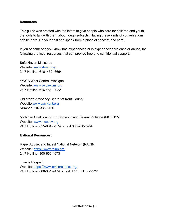#### **Resources**

This guide was created with the intent to give people who care for children and youth the tools to talk with them about tough subjects. Having these kinds of conversations can be hard. Do your best and speak from a place of concern and care.

If you or someone you know has experienced or is experiencing violence or abuse, the following are local resources that can provide free and confidential support:

Safe Haven Ministries Website: [www.shmgr.org](http://www.shmgr.org) 24/7 Hotline: 616- 452- 6664

YWCA West Central Michigan Website: [www.ywcawcmi.org](http://www.ywcawcmi.org) 24/7 Hotline: 616-454 -9922

Children's Advocacy Center of Kent County Website[:www.cac-kent.org](http://www.cac-kent.org) Number: 616-336-5160

Michigan Coalition to End Domestic and Sexual Violence (MCEDSV) Website: [www.mcedsv.org](http://www.mcedsv.org) 24/7 Hotline: 855-864- 2374 or text 866-238-1454

#### **National Resources:**

Rape, Abuse, and Incest National Network (RAINN) Website: <https://www.rainn.org/> 24/7 Hotline: 800-656-4673

Love is Respect Website: <https://www.loveisrespect.org/> 24/7 Hotline: 866-331-9474 or text LOVEIS to 22522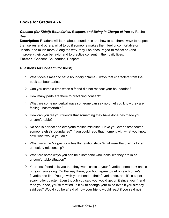# **Books for Grades 4 - 6**

# *Consent (for Kids!): Boundaries, Respect, and Being in Charge of You* by Rachel **Brian**

**Description:** Readers will learn about boundaries and how to set them, ways to respect themselves and others, what to do if someone makes them feel uncomfortable or unsafe, and much more. Along the way, they'll be encouraged to reflect on (and improve!) their own behavior and to practice consent in their daily lives. **Themes:** Consent, Boundaries, Respect

# **Questions for Consent (for Kids!)**

- 1. What does it mean to set a boundary? Name 5 ways that characters from the book set boundaries.
- 2. Can you name a time when a friend did not respect your boundaries?
- 3. How many parts are there to practicing consent?
- 4. What are some nonverbal ways someone can say no or let you know they are feeling uncomfortable?
- 5. How can you tell your friends that something they have done has made you uncomfortable?
- 6. No one is perfect and everyone makes mistakes. Have you ever disrespected someone else's boundaries? If you could redo that moment with what you know now, what would you do?
- 7. What were the 5 signs for a healthy relationship? What were the 5 signs for an unhealthy relationship?
- 8. What are some ways you can help someone who looks like they are in an uncomfortable situation?
- 9. Your best friend tells you that they won tickets to your favorite theme park and is bringing you along. On the way there, you both agree to get on each other's favorite ride first. You go with your friend to their favorite ride, and it's a super scary roller coaster. Even though you said you would get on it since your friend tried your ride, you're terrified. Is it ok to change your mind even if you already said yes? Would you be afraid of how your friend would react if you said no?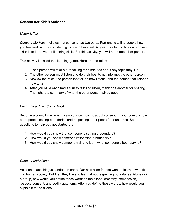# **Consent (for Kids!) Activities**

#### *Listen & Tell*

*Consent (for Kids!)* tells us that consent has two parts. Part one is telling people how you feel and part two is listening to how others feel. A great way to practice our consent skills is to improve our listening skills. For this activity, you will need one other person.

This activity is called the listening game. Here are the rules:

- 1. Each person will take a turn talking for 5 minutes about any topic they like.
- 2. The other person must listen and do their best to not interrupt the other person.
- 3. Now switch roles; the person that talked now listens, and the person that listened now talks.
- 4. After you have each had a turn to talk and listen, thank one another for sharing. Then share a summary of what the other person talked about.

#### *Design Your Own Comic Book*

Become a comic book artist! Draw your own comic about consent. In your comic, show other people setting boundaries and respecting other people's boundaries. Some questions to help you get started are:

- 1. How would you show that someone is setting a boundary?
- 2. How would you show someone respecting a boundary?
- 3. How would you show someone trying to learn what someone's boundary is?

#### *Consent and Aliens*

An alien spaceship just landed on earth! Our new alien friends want to learn how to fit into human society. But first, they have to learn about respecting boundaries. Alone or in a group, how would you define these words to the aliens: empathy, compassion, respect, consent, and bodily autonomy. After you define these words, how would you explain it to the aliens?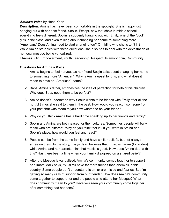# *Amina's Voice* by Hena Khan

**Description:** Amina has never been comfortable in the spotlight. She is happy just hanging out with her best friend, Soojin. Except, now that she's in middle school, everything feels different. Soojin is suddenly hanging out with Emily, one of the "cool" girls in the class, and even talking about changing her name to something more "American." Does Amina need to start changing too? Or hiding who she is to fit in? While Amina struggles with these questions, she also has to deal with the devastation of her local mosque being vandalized.

**Themes:** Girl Empowerment, Youth Leadership, Respect, Islamophobia, Community

# **Questions for Amina's Voice**

- 1. Amina begins to feel nervous as her friend Soojin talks about changing her name to something more "American". Why is Amina upset by this, and what does it mean to have an "American" name?
- 2. Baba, Amina's father, emphasizes the idea of perfection for both of his children. Why does Baba need them to be perfect?
- 3. Amina doesn't understand why Soojin wants to be friends with Emily after all the hurtful things she said to them in the past. How would you react if someone from your past that was mean to you now wanted to be your friend?
- 4. Why do you think Amina has a hard time speaking up to her friends and family?
- 5. Soojin and Amina are both teased for their cultures. Sometimes people will bully those who are different. Why do you think that is? If you were in Amina and Soojin's place, how would you feel and react?
- 6. People can be from the same family and have similar beliefs, but not always agree on them. In the story, Thaya Jaan believes that music is haram (forbidden) while Amina and her parents think that music is good. How does Amina deal with this? Has there been a time when your family disagreed on a shared belief?
- 7. After the Mosque is vandalized, Amina's community comes together to support her. Imam Malik says, "Muslims have far more friends than enemies in this country. Some people don't understand Islam or are misled and fear us. But I'm getting so many calls of support from our friends." How does Amina's community come together to support her and the people who attend her Mosque? What does community mean to you? Have you seen your community come together after something bad happens?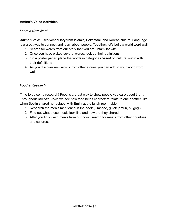# **Amina's Voice Activities**

#### *Learn a New Word*

*Amina's Voice* uses vocabulary from Islamic, Pakastani, and Korean culture. Language is a great way to connect and learn about people. Together, let's build a world word wall.

- 1. Search for words from our story that you are unfamiliar with
- 2. Once you have picked several words, look up their definitions
- 3. On a poster paper, place the words in categories based on cultural origin with their definitions
- 4. As you discover new words from other stories you can add to your world word wall!

#### *Food & Research*

Time to do some research! Food is a great way to show people you care about them. Throughout *Amina's Voice* we see how food helps characters relate to one another, like when Soojin shared her bulgogi with Emily at the lunch room table.

- 1. Research the meals mentioned in the book (kimchee, gulab jamun, bulgogi)
- 2. Find out what these meals look like and how are they shared
- 3. After you finish with meals from our book, search for meals from other countries and cultures.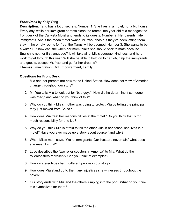# *Front Desk* by Kelly Yang

**Description:** Tang has a lot of secrets. Number 1: She lives in a motel, not a big house. Every day, while her immigrant parents clean the rooms, ten-year-old Mia manages the front desk of the Calivista Motel and tends to its guests. Number 2: Her parents hide immigrants. And if the mean motel owner, Mr. Yao, finds out they've been letting them stay in the empty rooms for free, the Tangs will be doomed. Number 3: She wants to be a writer. But how can she when her mom thinks she should stick to math because English is not her first language? It will take all of Mia's courage, kindness, and hard work to get through this year. Will she be able to hold on to her job, help the immigrants and guests, escape Mr. Yao, and go for her dreams? **Themes:** Immigration, Girl Empowerment, Family

#### **Questions for Front Desk**

- 1. Mia and her parents are new to the United States. How does her view of America change throughout our story?
- 2. Mr. Yao tells Mia to look out for "bad guys". How did he determine if someone was "bad," and what do you think of this?
- 3. Why do you think Mia's mother was trying to protect Mia by telling the principal they just moved from China?
- 4. How does Mia treat her responsibilities at the motel? Do you think that is too much responsibility for one kid?
- 5. Why do you think Mia is afraid to tell the other kids in her school she lives in a motel? Have you ever made up a story about yourself and why?
- 6. When Mia's mom says, "We're immigrants. Our lives are never fair," what does she mean by that?
- 7. Lupe describes the "two roller coasters in America" to Mia. What do the rollercoasters represent? Can you think of examples?
- 8. How do stereotypes harm different people in our story?
- 9. How does Mia stand up to the many injustices she witnesses throughout the novel?
- 10.Our story ends with Mia and the others jumping into the pool. What do you think this symbolizes for them?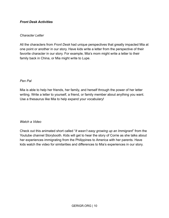# *Front Desk Activities*

#### *Character Letter*

All the characters from *Front Desk* had unique perspectives that greatly impacted Mia at one point or another in our story. Have kids write a letter from the perspective of their favorite character in our story. For example, Mia's mom might write a letter to their family back in China, or Mia might write to Lupe.

#### *Pen Pal*

Mia is able to help her friends, her family, and herself through the power of her letter writing. Write a letter to yourself, a friend, or family member about anything you want. Use a thesaurus like Mia to help expand your vocabulary!

#### *Watch a Video*

Check out this animated short called "*It wasn't easy growing up an Immigrant*" from the Youtube channel Storybooth. Kids will get to hear the story of Corrie as she talks about her experiences immigrating from the Philippines to America with her parents. Have kids watch the video for similarities and differences to Mia's experiences in our story.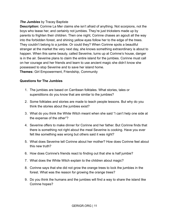# *The Jumbies* by Tracey Baptiste

**Description:** Corinne La Mer claims she isn't afraid of anything. Not scorpions, not the boys who tease her, and certainly not jumbies. They're just tricksters made up by parents to frighten their children. Then one night, Corinne chases an agouti all the way into the forbidden forest, and shining yellow eyes follow her to the edge of the trees. They couldn't belong to a jumbie. Or could they? When Corinne spots a beautiful stranger at the market the very next day, she knows something extraordinary is about to happen. When this same beauty, called Severine, turns up at Corinne's house, danger is in the air. Severine plans to claim the entire island for the jumbies. Corinne must call on her courage and her friends and learn to use ancient magic she didn't know she possessed to stop Severine and to save her island home. **Themes:** Girl Empowerment, Friendship, Community

# **Questions for The Jumbies**

- 1. The jumbies are based on Carribean folktales. What stories, tales or superstitions do you know that are similar to the jumbies?
- 2. Some folktales and stories are made to teach people lessons. But why do you think the stories about the jumbies exist?
- 3. What do you think the White Witch meant when she said "I can't help one side at the expense of the other"?
- 4. Severine offers to make dinner for Corinne and her father. But Corinne finds that there is something not right about the meal Severine is cooking. Have you ever felt like something was wrong but others said it was right?
- 5. What does Severine tell Corinne about her mother? How does Corinne feel about this new truth?
- 6. How does Corinne's friends react to finding out that she is half jumbie?
- 7. What does the White Witch explain to the children about magic?
- 8. Corinne says that she did not grow the orange trees to lock the jumbies in the forest. What was the reason for growing the orange trees?
- 9. Do you think the humans and the jumbies will find a way to share the island like Corinne hopes?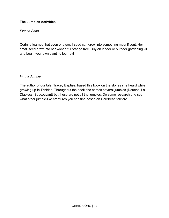# **The Jumbies Activities**

#### *Plant a Seed*

Corinne learned that even one small seed can grow into something magnificent. Her small seed grew into her wonderful orange tree. Buy an indoor or outdoor gardening kit and begin your own planting journey!

#### *Find a Jumbie*

The author of our tale, Tracey Baptise, based this book on the stories she heard while growing up In Trinidad. Throughout the book she names several jumbies (Douens, La Diabless, Soucouyant) but these are not all the jumbies. Do some research and see what other jumbie-like creatures you can find based on Carribean folklore.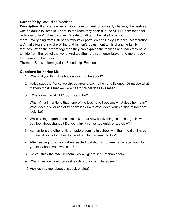# *Harbor Me* by Jacqueline Woodson

**Description:** It all starts when six kids have to meet for a weekly chat—by themselves, with no adults to listen in. There, in the room they soon dub the ARTT Room (short for "A Room to Talk"), they discover it's safe to talk about what's bothering them—everything from Esteban's father's deportation and Haley's father's incarceration to Amari's fears of racial profiling and Ashton's adjustment to his changing family fortunes. When the six are together, they can express the feelings and fears they have to hide from the rest of the world. And together, they can grow braver and more ready for the rest of their lives.

**Themes:** Racism, Immigration, Friendship, Emotions

# **Questions for Harbor Me**

- 1. What did you think this book is going to be about?
- 2. Haley says that "once we circled around each other, and listened. Or maybe what matters most is that we were heard." What does this mean?
- 3. What does the "ARTT" room stand for?
- 4. When Amari mentions that none of the kids have freedom, what does he mean? What does his version of freedom look like? What does your version of freedom look like?
- 5. While sitting together, the kids talk about how easily things can change. How do you feel about change? Do you think it comes too quick or too slow?
- 6. Ashton tells the other children before coming to school with them he didn't have to think about color. How do the other children react to this?
- 7. After reading how the children reacted to Ashton's comments on race, how do you feel about what was said?
- 8. Do you think the "ARTT" room kids will get to see Esteban again?
- 9. What question would you ask each of our main characters?
- 10.How do you feel about this book ending?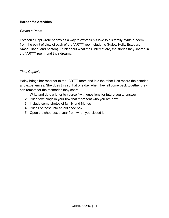# **Harbor Me Activities**

#### *Create a Poem*

Esteban's Papi wrote poems as a way to express his love to his family. Write a poem from the point of view of each of the "ARTT" room students (Haley, Holly, Esteban, Amari, Tiago, and Ashton). Think about what their interest are, the stories they shared in the "ARTT" room, and their dreams.

#### *Time Capsule*

Haley brings her recorder to the "ARTT" room and lets the other kids record their stories and experiences. She does this so that one day when they all come back together they can remember the memories they share.

- 1. Write and date a letter to yourself with questions for future you to answer
- 2. Put a few things in your box that represent who you are now
- 3. Include some photos of family and friends
- 4. Put all of these into an old shoe box
- 5. Open the shoe box a year from when you closed it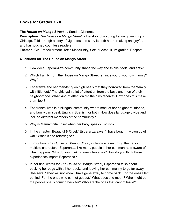# **Books for Grades 7 - 8**

#### **The** *House on Mango Street* by Sandra Cisneros

**Description:** *The House on Mango Street* is the story of a young Latina growing up in Chicago. Told through a story of vignettes, the story is both heartbreaking and joyful, and has touched countless readers.

**Themes:** Girl Empowerment, Toxic Masculinity, Sexual Assault, Imigration, Respect

#### **Questions for The House on Mango Street**

- 1. How does Esperanza's community shape the way she thinks, feels, and acts?
- 2. Which Family from the House on Mango Street reminds you of your own family? Why?
- 3. Esperanza and her friends try on high heels that they borrowed from the "family with little feet." The girls gain a lot of attention from the boys and men of their neighborhood. What kind of attention did the girls receive? How does this make them feel?
- 4. Esperanza lives in a bilingual community where most of her neighbors, friends, and family can speak English, Spanish, or both. How does language divide and include different members of the community?
- 5. Why is Mamamcita upset when her baby speaks English?
- 6. In the chapter "Beautiful & Cruel," Esperanza says, "I have begun my own quiet war." What is she referring to?
- 7. Throughout *The House on Mango Street,* violence is a recurring theme for multiple characters. Esperanza, like many people in her community, is aware of what happens. Why do you think no one intervenes? How do you think these experiences impact Esperanza?
- 8. In her final words for *The House on Mango Street,* Esperanza talks about packing her bags with all her books and leaving her community to go far away. She says, "They will not know I have gone away to come back. For the ones I left behind. For the ones who cannot get out." What does she mean? Who might be the people she is coming back for? Who are the ones that cannot leave?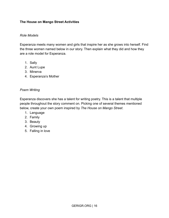# **The House on Mango Street Activities**

#### *Role Models*

Esperanza meets many women and girls that inspire her as she grows into herself. Find the three women named below in our story. Then explain what they did and how they are a role model for Esperanza.

- 1. Sally
- 2. Aunt Lupe
- 3. Minerva
- 4. Esperanza's Mother

#### *Poem Writing*

Esperanza discovers she has a talent for writing poetry. This is a talent that multiple people throughout the story comment on. Picking one of several themes mentioned below, create your own poem inspired by *The House on Mango Street*.

- 1. Language
- 2. Family
- 3. Beauty
- 4. Growing up
- 5. Falling in love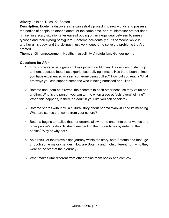# *Afar* by Leila del Duca, Kit Seaton

**Description:** Boetema discovers she can astrally project into new worlds and possess the bodies of people on other planets. At the same time, her troublemaker brother finds himself in a scary situation after eavesdropping on an illegal deal between business tycoons and their cyborg bodyguard. Boetema accidentally hurts someone while in another girl's body, and the siblings must work together to solve the problems they've created.

**Themes:** Girl empowerment, Healthy masculinity, Afrofuturism, Gender norms

# **Questions for Afar**

- 1. Inotu comes across a group of boys picking on Monkey. He decides to stand up to them, because Inotu has experienced bullying himself. Has there been a time you have experienced or seen someone being bullied? How did you react? What are ways you can support someone who is being harassed or bullied?
- 2. Botema and Inotu both reveal their secrets to each other because they value one another. Who is the person you can turn to when a secret feels overwhelming? When this happens, is there an adult in your life you can speak to?
- 3. Botema shares with Inotu a cultural story about Agama Wanwitu and its meaning. What are stories that come from your culture?
- 4. Botema begins to realize that her dreams allow her to enter into other worlds and other people's bodies. Is she disrespecting their boundaries by entering their bodies? Why or why not?
- 5. As a result of their travels and journey within the story, both Botema and Inotu go through some major changes. How are Botema and Inotu different from who they were at the start of their journey?
- 6. What makes Afar different from other mainstream books and comics?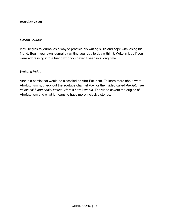# **Afar Activities**

#### *Dream Journal*

Inotu begins to journal as a way to practice his writing skills and cope with losing his friend. Begin your own journal by writing your day to day within it. Write in it as if you were addressing it to a friend who you haven't seen in a long time.

*Watch a Video*

Afar is a comic that would be classified as Afro-Futurism. To learn more about what Afrofuturism is, check out the Youtube channel Vox for their video called *Afrofuturism mixes sci-fi and social justice. Here's how it works.* The video covers the origins of Afrofuturism and what it means to have more inclusive stories.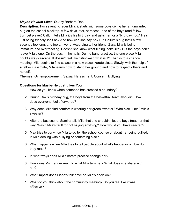# *Maybe He Just Likes You* by Barbara Dee

**Description:** For seventh-grader Mila, it starts with some boys giving her an unwanted hug on the school blacktop. A few days later, at recess, one of the boys (and fellow trumpet player) Callum tells Mila it's his birthday, and asks her for a "birthday hug." He's just being friendly, isn't he? And how can she say no? But Callum's hug lasts a few seconds too long, and feels…weird. According to her friend, Zara, Mila is being immature and overreacting. Doesn't she know what flirting looks like? But the boys don't leave Mila alone. On the bus. In the halls. During band practice, the one place Mila could always escape. It doesn't feel like flirting—so what is it? Thanks to a chance meeting, Mila begins to find solace in a new place: karate class. Slowly, with the help of a fellow classmate, Mila learns how to stand her ground and how to respect others and herself.

**Themes:** Girl empowerment, Sexual Harassment, Consent, Bullying

# **Questions for Maybe He Just Likes You**

- 1. How do you know when someone has crossed a boundary?
- 2. During Omi's birthday hug, the boys from the basketball team also join. How does everyone feel afterwards?
- 3. Why does Mila find comfort in wearing her green sweater? Who else "likes" Mila's sweater?
- 4. After the bus scene, Samira tells Mila that she shouldn't let the boys treat her that way. Was it Mila's fault for not saying anything? How would you have reacted?
- 5. Max tries to convince Mila to go tell the school counselor about her being bullied. Is Mila dealing with bullying or something else?
- 6. What happens when Mila tries to tell people about what's happening? How do they react?
- 7. In what ways does Mila's karate practice change her?
- 8. How does Ms. Fender react to what Mila tells her? What does she share with her?
- 9. What impact does Liana's talk have on Mila's decision?
- 10.What do you think about the community meeting? Do you feel like it was effective?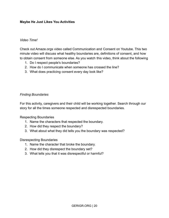# **Maybe He Just Likes You Activities**

#### *Video Time!*

Check out Amaze.orgs video called Communication and Consent on Youtube. This two minute video will discuss what healthy boundaries are, definitions of consent, and how to obtain consent from someone else. As you watch this video, think about the following

- 1. Do I respect people's boundaries?
- 2. How do I communicate when someone has crossed the line?
- 3. What does practicing consent every day look like?

#### *Finding Boundaries*

For this activity, caregivers and their child will be working together. Search through our story for all the times someone respected and disrespected boundaries.

Respecting Boundaries

- 1. Name the characters that respected the boundary.
- 2. How did they respect the boundary?
- 3. What about what they did tells you the boundary was respected?

#### Disrespecting Boundaries

- 1. Name the character that broke the boundary.
- 2. How did they disrespect the boundary set?
- 3. What tells you that it was disrespectful or harmful?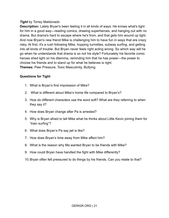# *Tight* by Torrey Maldonado

**Description:** Lately Bryan's been feeling it in all kinds of ways. He knows what's tight for him in a good way—reading comics, drawing superheroes, and hanging out with no drama. But drama's hard to escape where he's from, and that gets him wound up tight. And now Bryan's new friend Mike is challenging him to have fun in ways that are crazy risky. At first, it's a rush following Mike, hopping turnstiles, subway surfing, and getting into all kinds of trouble. But Bryan never feels right acting wrong. So which way will he go when he understands that drama is so not his style? Fortunately his favorite comic heroes shed light on his dilemma, reminding him that he has power—the power to choose his friends and to stand up for what he believes is right. **Themes:** Peer Pressure, Toxic Masculinity, Bullying

# **Questions for Tight**

- 1. What is Bryan's first impression of Mike?
- 2. What is different about Mike's home life compared to Bryan's?
- 3. How do different characters use the word soft? What are they referring to when they say it?
- 4. How does Bryan change after Pa is arrested?
- 5. Why is Bryan afraid to tell Mike what he thinks about Little Kevin joining them for "train surfing"?
- 6. What does Bryan's Pa say jail is like?
- 7. How does Bryan's time away from Mike affect him?
- 8. What is the reason why Ma wanted Bryan to be friends with Mike?
- 9. How could Bryan have handled the fight with Mike differently?
- 10.Bryan often felt pressured to do things by his friends. Can you relate to that?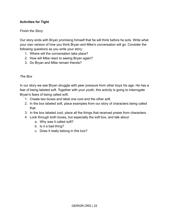# **Activities for Tight**

# *Finish the Story*

Our story ends with Bryan promising himself that he will think before he acts. Write what your own version of how you think Bryan and Mike's conversation will go. Consider the following questions as you write your story:

- 1. Where will the conversation take place?
- 2. How will Mike react to seeing Bryan again?
- 3. Do Bryan and Mike remain friends?

#### *The Box*

In our story we see Bryan struggle with peer pressure from other boys his age. He has a fear of being labeled soft. Together with your youth, this activity is going to interrogate Bryan's fears of being called soft.

- 1. Create two boxes and label one cool and the other soft.
- 2. In the box labeled soft, place examples from our story of characters being called that.
- 3. In the box labeled cool, place all the things that received praise from characters.
- 4. Look through both boxes, but especially the soft box, and talk about
	- a. Why was it called soft?
	- b. Is it a bad thing?
	- c. Does it really belong in this box?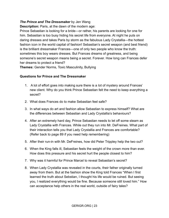# *The Prince and The Dressmaker* by Jen Wang

**Description:** Paris, at the dawn of the modern age:

Prince Sebastian is looking for a bride―or rather, his parents are looking for one for him. Sebastian is too busy hiding his secret life from everyone. At night he puts on daring dresses and takes Paris by storm as the fabulous Lady Crystallia―the hottest fashion icon in the world capital of fashion! Sebastian's secret weapon (and best friend) is the brilliant dressmaker Frances―one of only two people who know the truth: sometimes this boy wears dresses. But Frances dreams of greatness, and being someone's secret weapon means being a secret. Forever. How long can Frances defer her dreams to protect a friend?

**Themes:** Gender Norms, Toxic Masculinity, Bullying

# **Questions for Prince and The Dressmaker**

- 1. A lot of effort goes into making sure there is a lot of mystery around Frances' new client. Why do you think Prince Sebastian felt the need to keep everything a secret?
- 2. What does Frances do to make Sebastian feel safe?
- 3. In what ways do art and fashion allow Sebastian to express himself? What are the differences between Sebastian and Lady Crystallia's behaviours?
- 4. After an extremely hard day, Prince Sebastian needs to let off some steam as Lady Crystallia with Frances. While out they run into Mr. DeFreines. What part of their interaction tells you that Lady Crystallia and Frances are comfortable? (Refer back to page 89 if you need help remembering)
- 5. After their run-in with Mr. DeFreines, how did Peter Trippley help the two out?
- 6. When the King falls ill, Sebastian feels the weight of the crown more than ever. How does this pressure and his secret hurt the people closest to him?
- 7. Why was it harmful for Prince Marcel to reveal Sebastian's secret?
- 8. When Lady Crystallia was revealed in the courts, their father originally turned away from them. But at the fashion show the King told Frances "When I first learned the truth about Sebstian, I thought his life would be ruined. But seeing you, I realized everything would be fine. Because someone still loved him." How can acceptance help others in the real world, outside of fairy tales?